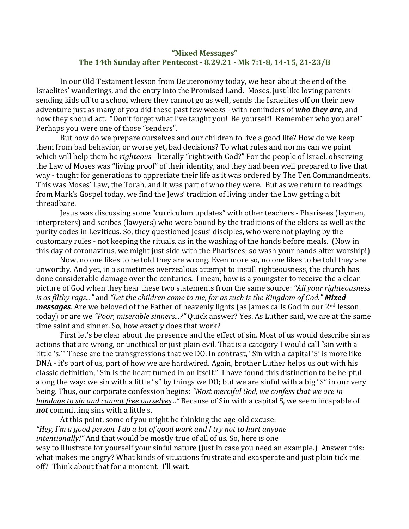## **"Mixed Messages" The 14th Sunday after Pentecost - 8.29.21 - Mk 7:1-8, 14-15, 21-23/B**

In our Old Testament lesson from Deuteronomy today, we hear about the end of the Israelites' wanderings, and the entry into the Promised Land. Moses, just like loving parents sending kids off to a school where they cannot go as well, sends the Israelites off on their new adventure just as many of you did these past few weeks - with reminders of who they are, and how they should act. "Don't forget what I've taught you! Be yourself! Remember who you are!" Perhaps you were one of those "senders".

But how do we prepare ourselves and our children to live a good life? How do we keep them from bad behavior, or worse yet, bad decisions? To what rules and norms can we point which will help them be *righteous* - literally "right with God?" For the people of Israel, observing the Law of Moses was "living proof" of their identity, and they had been well prepared to live that way - taught for generations to appreciate their life as it was ordered by The Ten Commandments. This was Moses' Law, the Torah, and it was part of who they were. But as we return to readings from Mark's Gospel today, we find the Jews' tradition of living under the Law getting a bit threadbare. 

Jesus was discussing some "curriculum updates" with other teachers - Pharisees (laymen, interpreters) and scribes (lawyers) who were bound by the traditions of the elders as well as the purity codes in Leviticus. So, they questioned Jesus' disciples, who were not playing by the customary rules - not keeping the rituals, as in the washing of the hands before meals. (Now in this day of coronavirus, we might just side with the Pharisees; so wash your hands after worship!)

Now, no one likes to be told they are wrong. Even more so, no one likes to be told they are unworthy. And yet, in a sometimes overzealous attempt to instill righteousness, the church has done considerable damage over the centuries. I mean, how is a youngster to receive the a clear picture of God when they hear these two statements from the same source: "All your righteousness *is* as filthy rags..." and "Let the children come to me, for as such is the Kingdom of God." **Mixed** *messages*. Are we beloved of the Father of heavenly lights (as James calls God in our 2<sup>nd</sup> lesson today) or are we "Poor, miserable sinners...?" Quick answer? Yes. As Luther said, we are at the same time saint and sinner. So, how exactly does that work?

First let's be clear about the presence and the effect of sin. Most of us would describe sin as actions that are wrong, or unethical or just plain evil. That is a category I would call "sin with a little 's.'" These are the transgressions that we DO. In contrast, "Sin with a capital 'S' is more like DNA - it's part of us, part of how we are hardwired. Again, brother Luther helps us out with his classic definition, "Sin is the heart turned in on itself." I have found this distinction to be helpful along the way: we sin with a little "s" by things we DO; but we are sinful with a big "S" in our very being. Thus, our corporate confession begins: "Most merciful God, we confess that we are in *bondage to sin and cannot free ourselves..."* Because of Sin with a capital S, we seem incapable of not committing sins with a little s.

At this point, some of you might be thinking the age-old excuse: "Hey, I'm a good person. I do a lot of good work and I try not to hurt anyone *intentionally!"* And that would be mostly true of all of us. So, here is one way to illustrate for yourself your sinful nature (just in case you need an example.) Answer this: what makes me angry? What kinds of situations frustrate and exasperate and just plain tick me off? Think about that for a moment. I'll wait.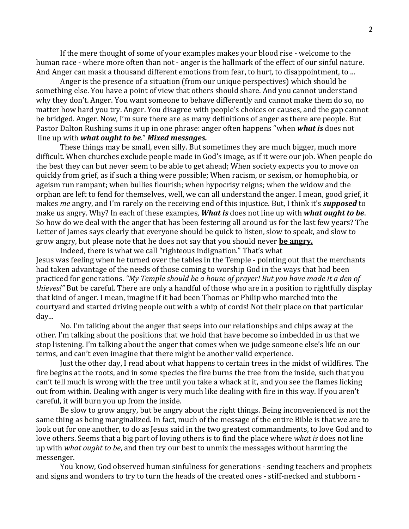If the mere thought of some of your examples makes your blood rise - welcome to the human race - where more often than not - anger is the hallmark of the effect of our sinful nature. And Anger can mask a thousand different emotions from fear, to hurt, to disappointment, to ...

Anger is the presence of a situation (from our unique perspectives) which should be something else. You have a point of view that others should share. And you cannot understand why they don't. Anger. You want someone to behave differently and cannot make them do so, no matter how hard you try. Anger. You disagree with people's choices or causes, and the gap cannot be bridged. Anger. Now, I'm sure there are as many definitions of anger as there are people. But Pastor Dalton Rushing sums it up in one phrase: anger often happens "when **what is** does not line up with *what ought to be." Mixed messages.* 

These things may be small, even silly. But sometimes they are much bigger, much more difficult. When churches exclude people made in God's image, as if it were our job. When people do the best they can but never seem to be able to get ahead; When society expects you to move on quickly from grief, as if such a thing were possible; When racism, or sexism, or homophobia, or ageism run rampant; when bullies flourish; when hypocrisy reigns; when the widow and the orphan are left to fend for themselves, well, we can all understand the anger. I mean, good grief, it makes *me* angry, and I'm rarely on the receiving end of this injustice. But, I think it's *supposed* to make us angry. Why? In each of these examples, **What is** does not line up with **what ought to be**. So how do we deal with the anger that has been festering all around us for the last few years? The Letter of James says clearly that everyone should be quick to listen, slow to speak, and slow to grow angry, but please note that he does not say that you should never **be angry.** 

Indeed, there is what we call "righteous indignation." That's what Jesus was feeling when he turned over the tables in the Temple - pointing out that the merchants had taken advantage of the needs of those coming to worship God in the ways that had been practiced for generations. "My Temple should be a house of prayer! But you have made it a den of *thieves!"* But be careful. There are only a handful of those who are in a position to rightfully display that kind of anger. I mean, imagine if it had been Thomas or Philip who marched into the courtyard and started driving people out with a whip of cords! Not their place on that particular day...

No. I'm talking about the anger that seeps into our relationships and chips away at the other. I'm talking about the positions that we hold that have become so imbedded in us that we stop listening. I'm talking about the anger that comes when we judge someone else's life on our terms, and can't even imagine that there might be another valid experience.

Just the other day, I read about what happens to certain trees in the midst of wildfires. The fire begins at the roots, and in some species the fire burns the tree from the inside, such that you can't tell much is wrong with the tree until you take a whack at it, and you see the flames licking out from within. Dealing with anger is very much like dealing with fire in this way. If you aren't careful, it will burn you up from the inside.

Be slow to grow angry, but be angry about the right things. Being inconvenienced is not the same thing as being marginalized. In fact, much of the message of the entire Bible is that we are to look out for one another, to do as Jesus said in the two greatest commandments, to love God and to love others. Seems that a big part of loving others is to find the place where *what is* does not line up with *what ought to be*, and then try our best to unmix the messages without harming the messenger.

You know, God observed human sinfulness for generations - sending teachers and prophets and signs and wonders to try to turn the heads of the created ones - stiff-necked and stubborn -